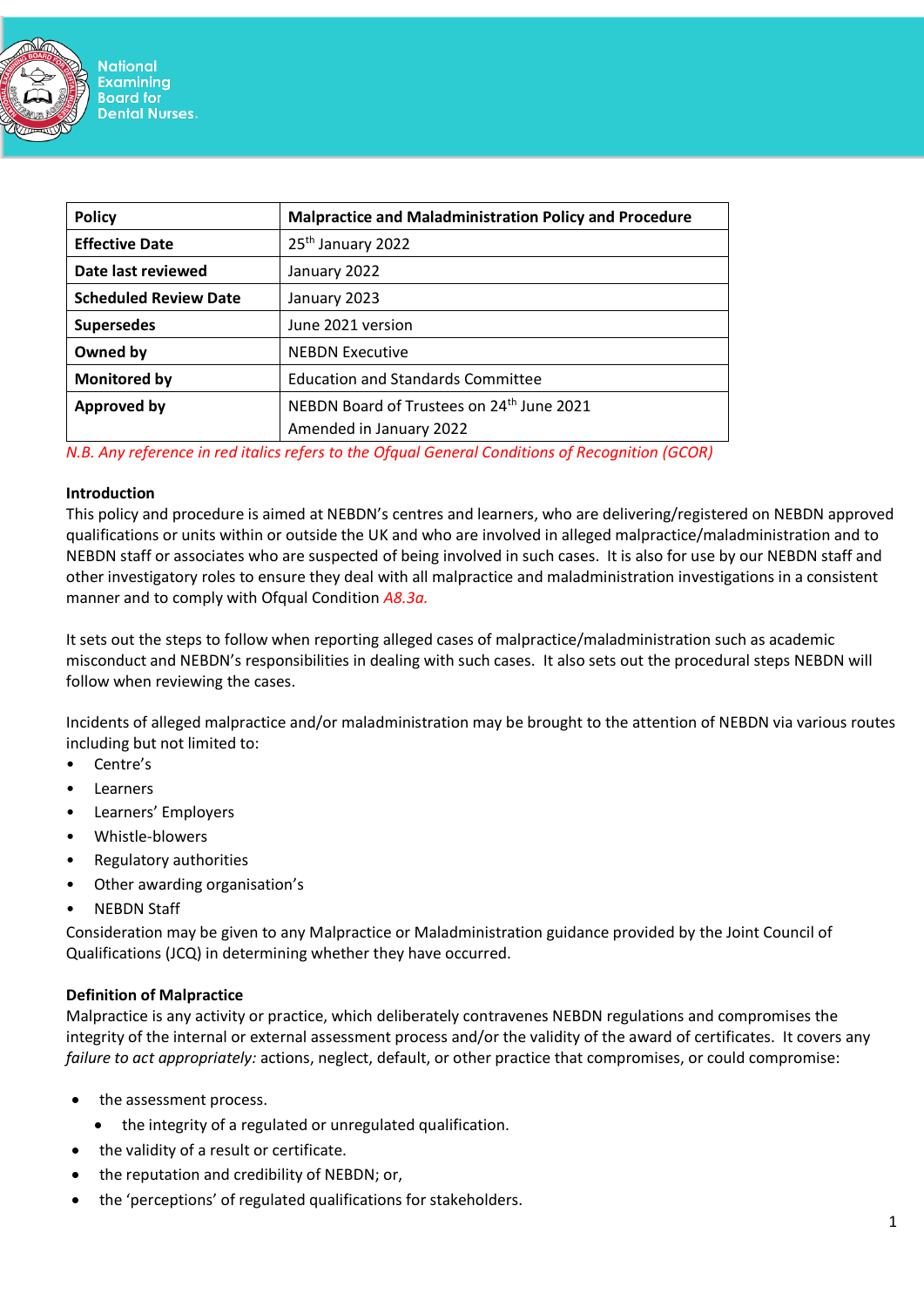

| <b>Policy</b>                | <b>Malpractice and Maladministration Policy and Procedure</b> |
|------------------------------|---------------------------------------------------------------|
| <b>Effective Date</b>        | 25 <sup>th</sup> January 2022                                 |
| Date last reviewed           | January 2022                                                  |
| <b>Scheduled Review Date</b> | January 2023                                                  |
| <b>Supersedes</b>            | June 2021 version                                             |
| Owned by                     | <b>NEBDN Executive</b>                                        |
| <b>Monitored by</b>          | <b>Education and Standards Committee</b>                      |
| <b>Approved by</b>           | NEBDN Board of Trustees on 24 <sup>th</sup> June 2021         |
|                              | Amended in January 2022                                       |

*N.B. Any reference in red italics refers to the Ofqual General Conditions of Recognition (GCOR)*

#### **Introduction**

This policy and procedure is aimed at NEBDN's centres and learners, who are delivering/registered on NEBDN approved qualifications or units within or outside the UK and who are involved in alleged malpractice/maladministration and to NEBDN staff or associates who are suspected of being involved in such cases. It is also for use by our NEBDN staff and other investigatory roles to ensure they deal with all malpractice and maladministration investigations in a consistent manner and to comply with Ofqual Condition *A8.3a.*

It sets out the steps to follow when reporting alleged cases of malpractice/maladministration such as academic misconduct and NEBDN's responsibilities in dealing with such cases. It also sets out the procedural steps NEBDN will follow when reviewing the cases.

Incidents of alleged malpractice and/or maladministration may be brought to the attention of NEBDN via various routes including but not limited to:

- Centre's
- **Learners**
- Learners' Employers
- Whistle-blowers
- Regulatory authorities
- Other awarding organisation's
- NEBDN Staff

Consideration may be given to any Malpractice or Maladministration guidance provided by the Joint Council of Qualifications (JCQ) in determining whether they have occurred.

#### **Definition of Malpractice**

Malpractice is any activity or practice, which deliberately contravenes NEBDN regulations and compromises the integrity of the internal or external assessment process and/or the validity of the award of certificates. It covers any *failure to act appropriately:* actions, neglect, default, or other practice that compromises, or could compromise:

- the assessment process.
	- the integrity of a regulated or unregulated qualification.
- the validity of a result or certificate.
- the reputation and credibility of NEBDN; or,
- the 'perceptions' of regulated qualifications for stakeholders.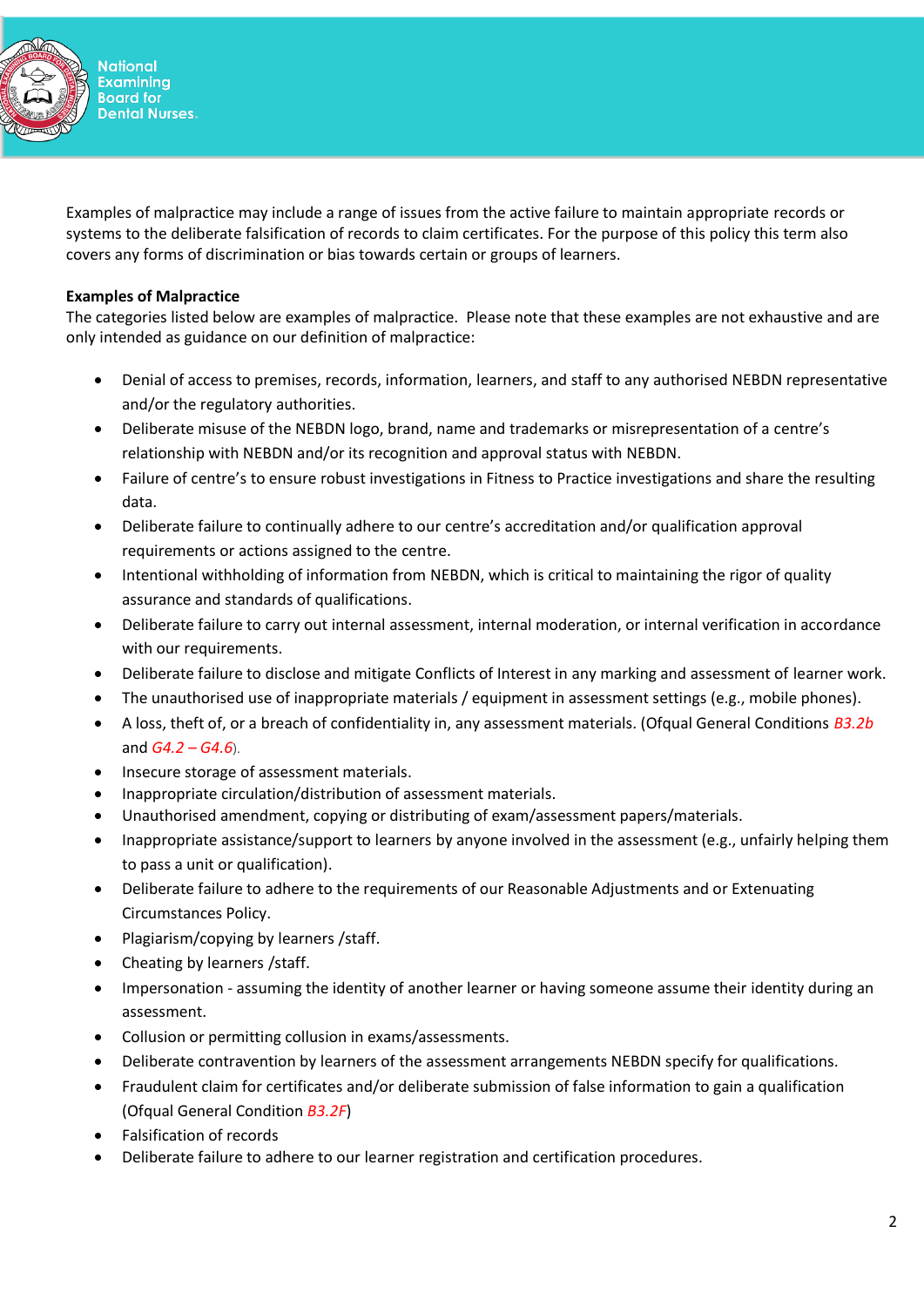

Examples of malpractice may include a range of issues from the active failure to maintain appropriate records or systems to the deliberate falsification of records to claim certificates. For the purpose of this policy this term also covers any forms of discrimination or bias towards certain or groups of learners.

## **Examples of Malpractice**

The categories listed below are examples of malpractice. Please note that these examples are not exhaustive and are only intended as guidance on our definition of malpractice:

- Denial of access to premises, records, information, learners, and staff to any authorised NEBDN representative and/or the regulatory authorities.
- Deliberate misuse of the NEBDN logo, brand, name and trademarks or misrepresentation of a centre's relationship with NEBDN and/or its recognition and approval status with NEBDN.
- Failure of centre's to ensure robust investigations in Fitness to Practice investigations and share the resulting data.
- Deliberate failure to continually adhere to our centre's accreditation and/or qualification approval requirements or actions assigned to the centre.
- Intentional withholding of information from NEBDN, which is critical to maintaining the rigor of quality assurance and standards of qualifications.
- Deliberate failure to carry out internal assessment, internal moderation, or internal verification in accordance with our requirements.
- Deliberate failure to disclose and mitigate Conflicts of Interest in any marking and assessment of learner work.
- The unauthorised use of inappropriate materials / equipment in assessment settings (e.g., mobile phones).
- A loss, theft of, or a breach of confidentiality in, any assessment materials. (Ofqual General Conditions *B3.2b* and *G4.2 – G4.6*).
- Insecure storage of assessment materials.
- Inappropriate circulation/distribution of assessment materials.
- Unauthorised amendment, copying or distributing of exam/assessment papers/materials.
- Inappropriate assistance/support to learners by anyone involved in the assessment (e.g., unfairly helping them to pass a unit or qualification).
- Deliberate failure to adhere to the requirements of our Reasonable Adjustments and or Extenuating Circumstances Policy.
- Plagiarism/copying by learners /staff.
- Cheating by learners /staff.
- Impersonation assuming the identity of another learner or having someone assume their identity during an assessment.
- Collusion or permitting collusion in exams/assessments.
- Deliberate contravention by learners of the assessment arrangements NEBDN specify for qualifications.
- Fraudulent claim for certificates and/or deliberate submission of false information to gain a qualification (Ofqual General Condition *B3.2F*)
- Falsification of records
- Deliberate failure to adhere to our learner registration and certification procedures.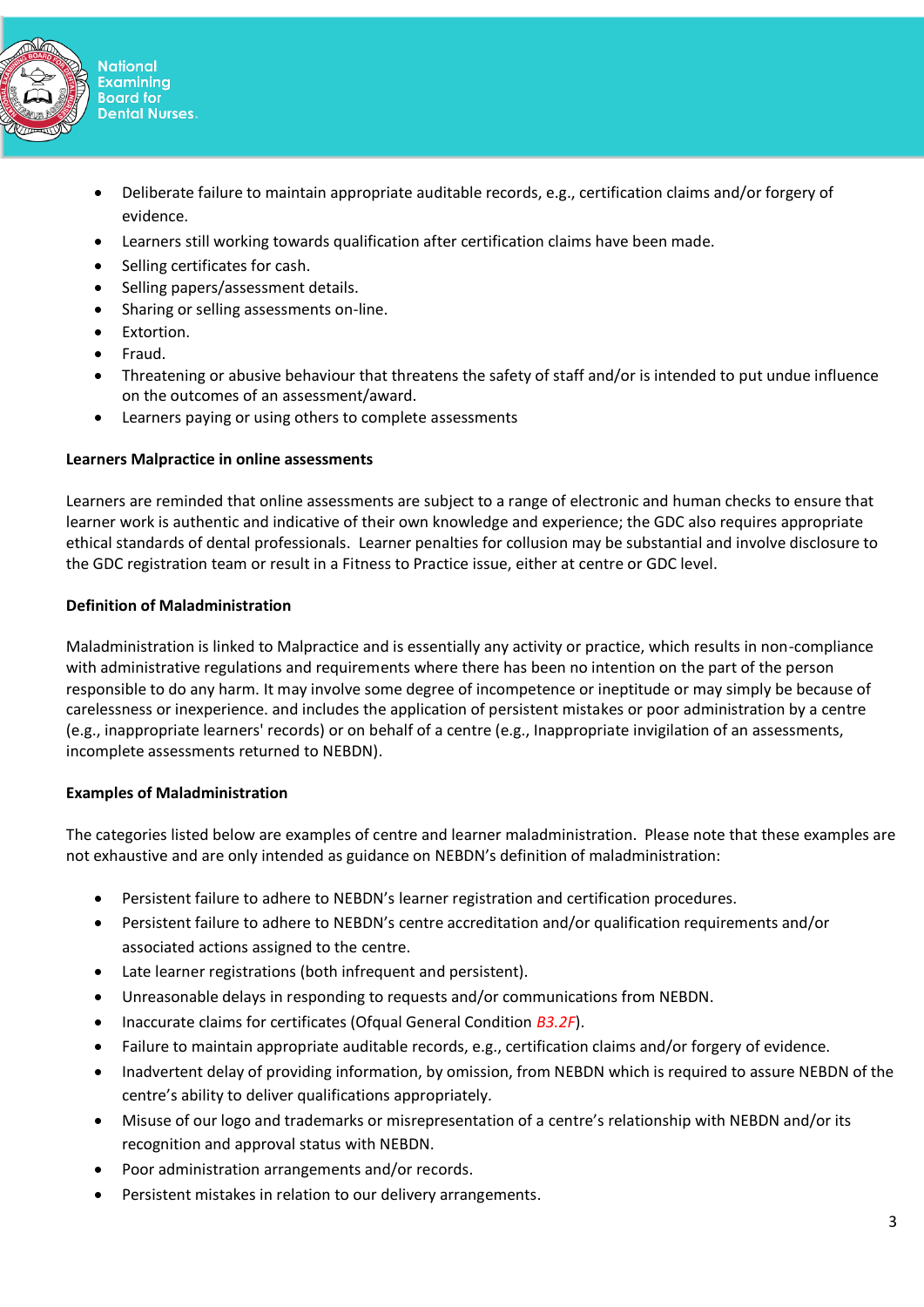

- Deliberate failure to maintain appropriate auditable records, e.g., certification claims and/or forgery of evidence.
- Learners still working towards qualification after certification claims have been made.
- Selling certificates for cash.
- Selling papers/assessment details.
- Sharing or selling assessments on-line.
- Extortion.
- Fraud.
- Threatening or abusive behaviour that threatens the safety of staff and/or is intended to put undue influence on the outcomes of an assessment/award.
- Learners paying or using others to complete assessments

# **Learners Malpractice in online assessments**

Learners are reminded that online assessments are subject to a range of electronic and human checks to ensure that learner work is authentic and indicative of their own knowledge and experience; the GDC also requires appropriate ethical standards of dental professionals. Learner penalties for collusion may be substantial and involve disclosure to the GDC registration team or result in a Fitness to Practice issue, either at centre or GDC level.

# **Definition of Maladministration**

Maladministration is linked to Malpractice and is essentially any activity or practice, which results in non-compliance with administrative regulations and requirements where there has been no intention on the part of the person responsible to do any harm. It may involve some degree of incompetence or ineptitude or may simply be because of carelessness or inexperience. and includes the application of persistent mistakes or poor administration by a centre (e.g., inappropriate learners' records) or on behalf of a centre (e.g., Inappropriate invigilation of an assessments, incomplete assessments returned to NEBDN).

# **Examples of Maladministration**

The categories listed below are examples of centre and learner maladministration. Please note that these examples are not exhaustive and are only intended as guidance on NEBDN's definition of maladministration:

- Persistent failure to adhere to NEBDN's learner registration and certification procedures.
- Persistent failure to adhere to NEBDN's centre accreditation and/or qualification requirements and/or associated actions assigned to the centre.
- Late learner registrations (both infrequent and persistent).
- Unreasonable delays in responding to requests and/or communications from NEBDN.
- Inaccurate claims for certificates (Ofqual General Condition *B3.2F*).
- Failure to maintain appropriate auditable records, e.g., certification claims and/or forgery of evidence.
- Inadvertent delay of providing information, by omission, from NEBDN which is required to assure NEBDN of the centre's ability to deliver qualifications appropriately.
- Misuse of our logo and trademarks or misrepresentation of a centre's relationship with NEBDN and/or its recognition and approval status with NEBDN.
- Poor administration arrangements and/or records.
- Persistent mistakes in relation to our delivery arrangements.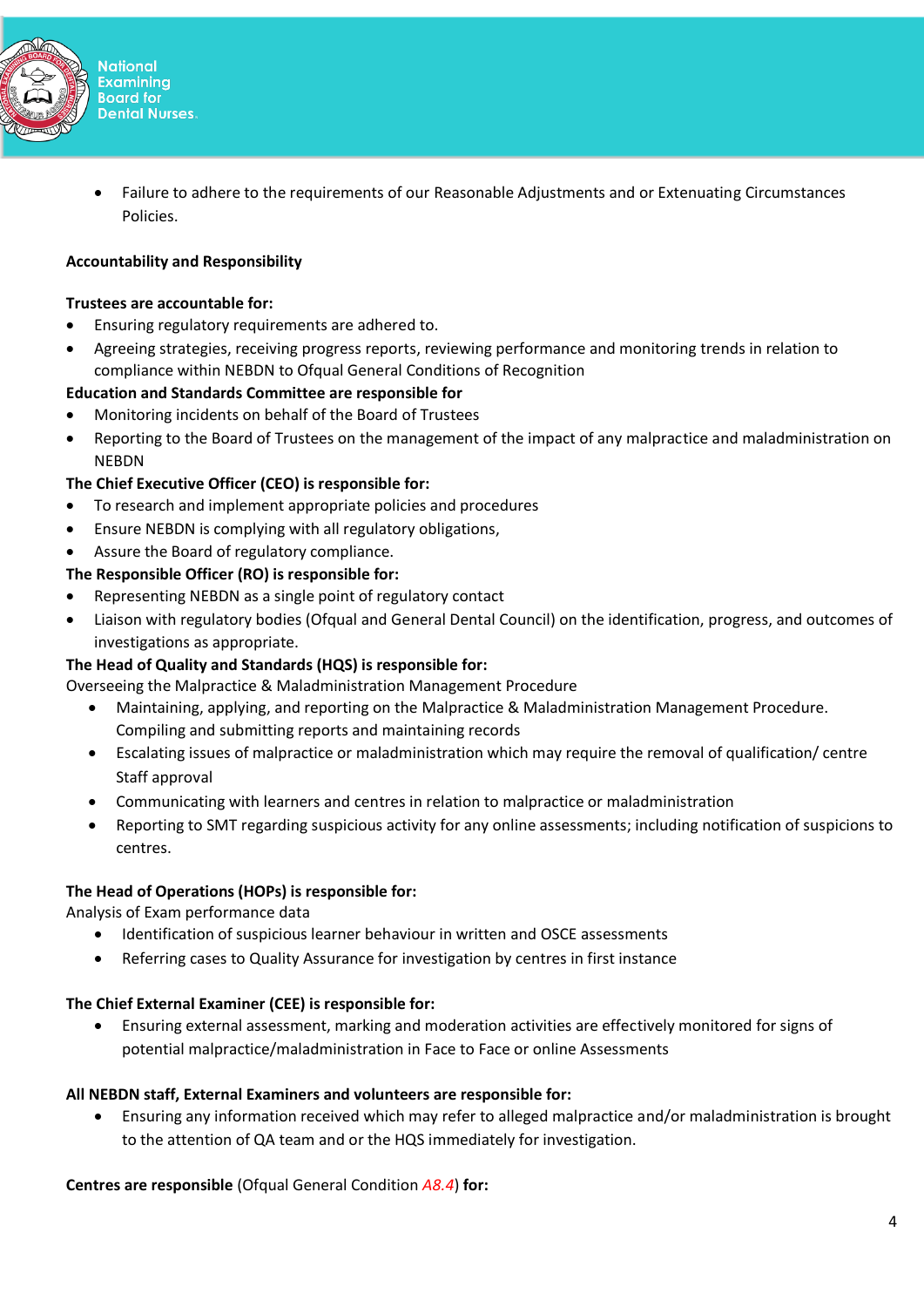

• Failure to adhere to the requirements of our Reasonable Adjustments and or Extenuating Circumstances Policies.

# **Accountability and Responsibility**

### **Trustees are accountable for:**

- Ensuring regulatory requirements are adhered to.
- Agreeing strategies, receiving progress reports, reviewing performance and monitoring trends in relation to compliance within NEBDN to Ofqual General Conditions of Recognition

# **Education and Standards Committee are responsible for**

- Monitoring incidents on behalf of the Board of Trustees
- Reporting to the Board of Trustees on the management of the impact of any malpractice and maladministration on NEBDN

# **The Chief Executive Officer (CEO) is responsible for:**

- To research and implement appropriate policies and procedures
- Ensure NEBDN is complying with all regulatory obligations,
- Assure the Board of regulatory compliance.

# **The Responsible Officer (RO) is responsible for:**

- Representing NEBDN as a single point of regulatory contact
- Liaison with regulatory bodies (Ofqual and General Dental Council) on the identification, progress, and outcomes of investigations as appropriate.

# **The Head of Quality and Standards (HQS) is responsible for:**

Overseeing the Malpractice & Maladministration Management Procedure

- Maintaining, applying, and reporting on the Malpractice & Maladministration Management Procedure. Compiling and submitting reports and maintaining records
- Escalating issues of malpractice or maladministration which may require the removal of qualification/ centre Staff approval
- Communicating with learners and centres in relation to malpractice or maladministration
- Reporting to SMT regarding suspicious activity for any online assessments; including notification of suspicions to centres.

## **The Head of Operations (HOPs) is responsible for:**

Analysis of Exam performance data

- Identification of suspicious learner behaviour in written and OSCE assessments
- Referring cases to Quality Assurance for investigation by centres in first instance

## **The Chief External Examiner (CEE) is responsible for:**

• Ensuring external assessment, marking and moderation activities are effectively monitored for signs of potential malpractice/maladministration in Face to Face or online Assessments

## **All NEBDN staff, External Examiners and volunteers are responsible for:**

• Ensuring any information received which may refer to alleged malpractice and/or maladministration is brought to the attention of QA team and or the HQS immediately for investigation.

**Centres are responsible** (Ofqual General Condition *A8.4*) **for:**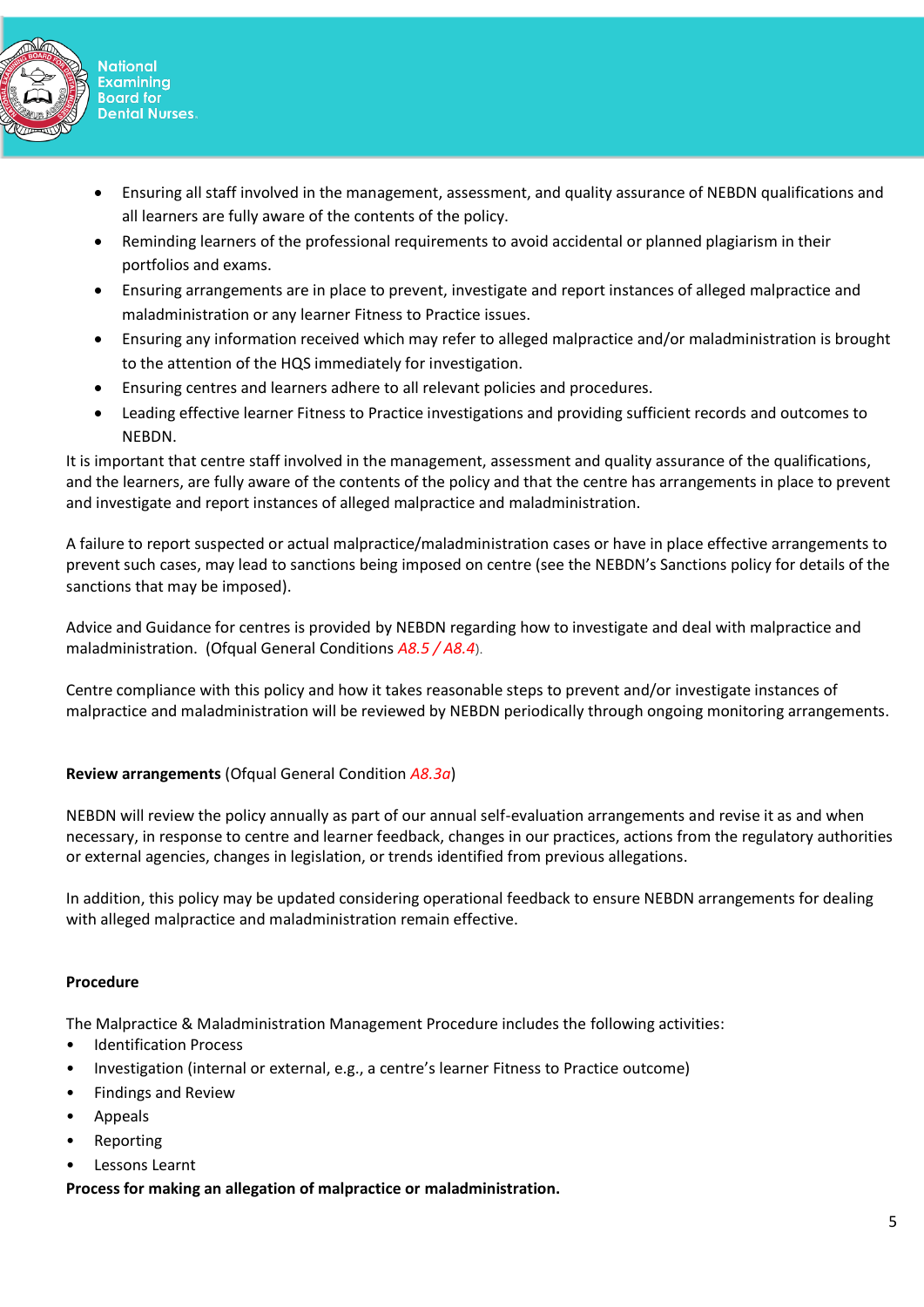

- Ensuring all staff involved in the management, assessment, and quality assurance of NEBDN qualifications and all learners are fully aware of the contents of the policy.
- Reminding learners of the professional requirements to avoid accidental or planned plagiarism in their portfolios and exams.
- Ensuring arrangements are in place to prevent, investigate and report instances of alleged malpractice and maladministration or any learner Fitness to Practice issues.
- Ensuring any information received which may refer to alleged malpractice and/or maladministration is brought to the attention of the HQS immediately for investigation.
- Ensuring centres and learners adhere to all relevant policies and procedures.
- Leading effective learner Fitness to Practice investigations and providing sufficient records and outcomes to NEBDN.

It is important that centre staff involved in the management, assessment and quality assurance of the qualifications, and the learners, are fully aware of the contents of the policy and that the centre has arrangements in place to prevent and investigate and report instances of alleged malpractice and maladministration.

A failure to report suspected or actual malpractice/maladministration cases or have in place effective arrangements to prevent such cases, may lead to sanctions being imposed on centre (see the NEBDN's Sanctions policy for details of the sanctions that may be imposed).

Advice and Guidance for centres is provided by NEBDN regarding how to investigate and deal with malpractice and maladministration. (Ofqual General Conditions *A8.5 / A8.4*).

Centre compliance with this policy and how it takes reasonable steps to prevent and/or investigate instances of malpractice and maladministration will be reviewed by NEBDN periodically through ongoing monitoring arrangements.

# **Review arrangements** (Ofqual General Condition *A8.3a*)

NEBDN will review the policy annually as part of our annual self-evaluation arrangements and revise it as and when necessary, in response to centre and learner feedback, changes in our practices, actions from the regulatory authorities or external agencies, changes in legislation, or trends identified from previous allegations.

In addition, this policy may be updated considering operational feedback to ensure NEBDN arrangements for dealing with alleged malpractice and maladministration remain effective.

## **Procedure**

The Malpractice & Maladministration Management Procedure includes the following activities:

- **Identification Process**
- Investigation (internal or external, e.g., a centre's learner Fitness to Practice outcome)
- Findings and Review
- Appeals
- Reporting
- Lessons Learnt

**Process for making an allegation of malpractice or maladministration.**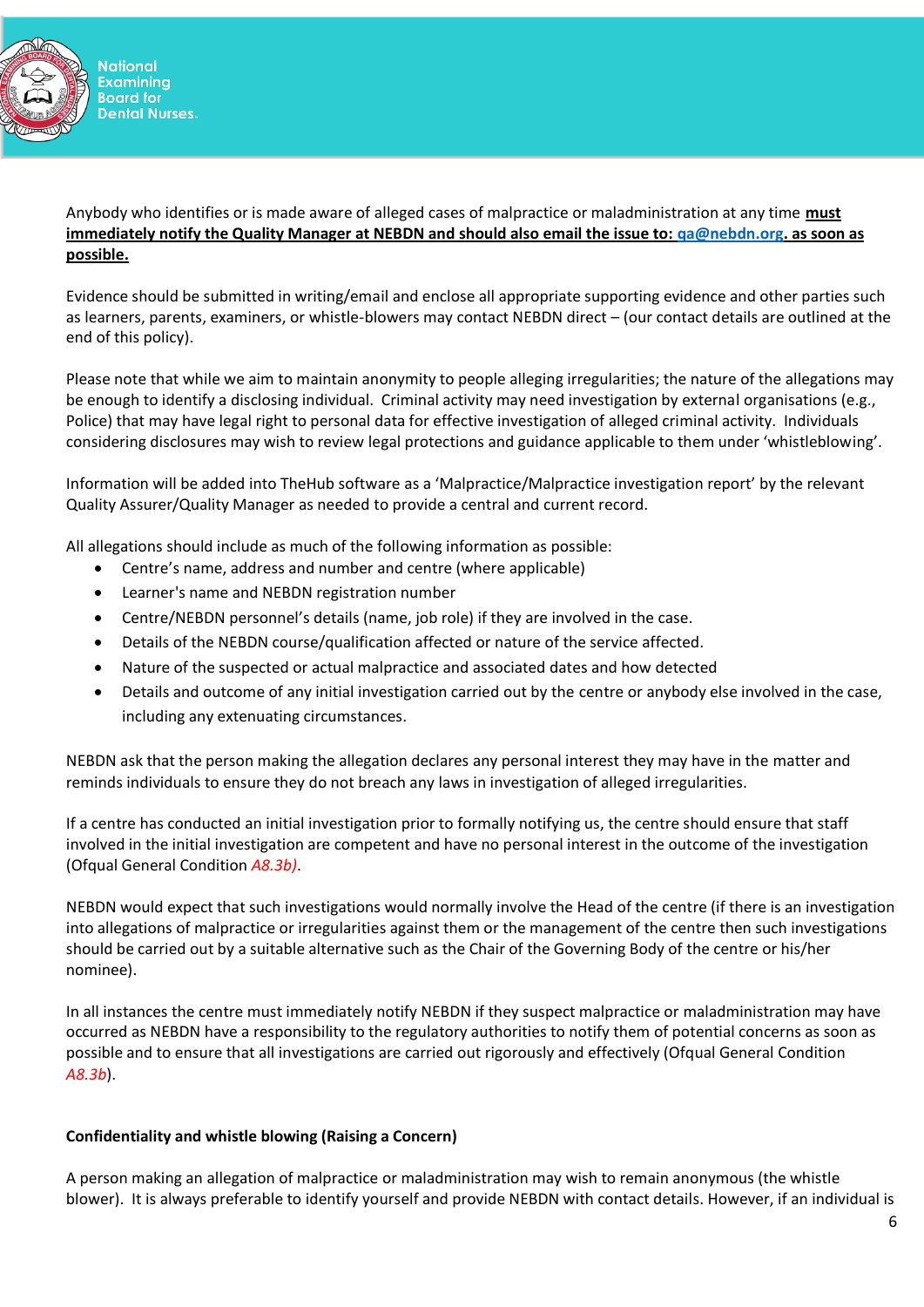

## Anybody who identifies or is made aware of alleged cases of malpractice or maladministration at any time **must immediately notify the Quality Manager at NEBDN and should also email the issue to: [qa@nebdn.org.](mailto:qa@nebdn.org) as soon as possible.**

Evidence should be submitted in writing/email and enclose all appropriate supporting evidence and other parties such as learners, parents, examiners, or whistle-blowers may contact NEBDN direct – (our contact details are outlined at the end of this policy).

Please note that while we aim to maintain anonymity to people alleging irregularities; the nature of the allegations may be enough to identify a disclosing individual. Criminal activity may need investigation by external organisations (e.g., Police) that may have legal right to personal data for effective investigation of alleged criminal activity. Individuals considering disclosures may wish to review legal protections and guidance applicable to them under 'whistleblowing'.

Information will be added into TheHub software as a 'Malpractice/Malpractice investigation report' by the relevant Quality Assurer/Quality Manager as needed to provide a central and current record.

All allegations should include as much of the following information as possible:

- Centre's name, address and number and centre (where applicable)
- Learner's name and NEBDN registration number
- Centre/NEBDN personnel's details (name, job role) if they are involved in the case.
- Details of the NEBDN course/qualification affected or nature of the service affected.
- Nature of the suspected or actual malpractice and associated dates and how detected
- Details and outcome of any initial investigation carried out by the centre or anybody else involved in the case, including any extenuating circumstances.

NEBDN ask that the person making the allegation declares any personal interest they may have in the matter and reminds individuals to ensure they do not breach any laws in investigation of alleged irregularities.

If a centre has conducted an initial investigation prior to formally notifying us, the centre should ensure that staff involved in the initial investigation are competent and have no personal interest in the outcome of the investigation (Ofqual General Condition *A8.3b)*.

NEBDN would expect that such investigations would normally involve the Head of the centre (if there is an investigation into allegations of malpractice or irregularities against them or the management of the centre then such investigations should be carried out by a suitable alternative such as the Chair of the Governing Body of the centre or his/her nominee).

In all instances the centre must immediately notify NEBDN if they suspect malpractice or maladministration may have occurred as NEBDN have a responsibility to the regulatory authorities to notify them of potential concerns as soon as possible and to ensure that all investigations are carried out rigorously and effectively (Ofqual General Condition *A8.3b*).

## **Confidentiality and whistle blowing (Raising a Concern)**

A person making an allegation of malpractice or maladministration may wish to remain anonymous (the whistle blower). It is always preferable to identify yourself and provide NEBDN with contact details. However, if an individual is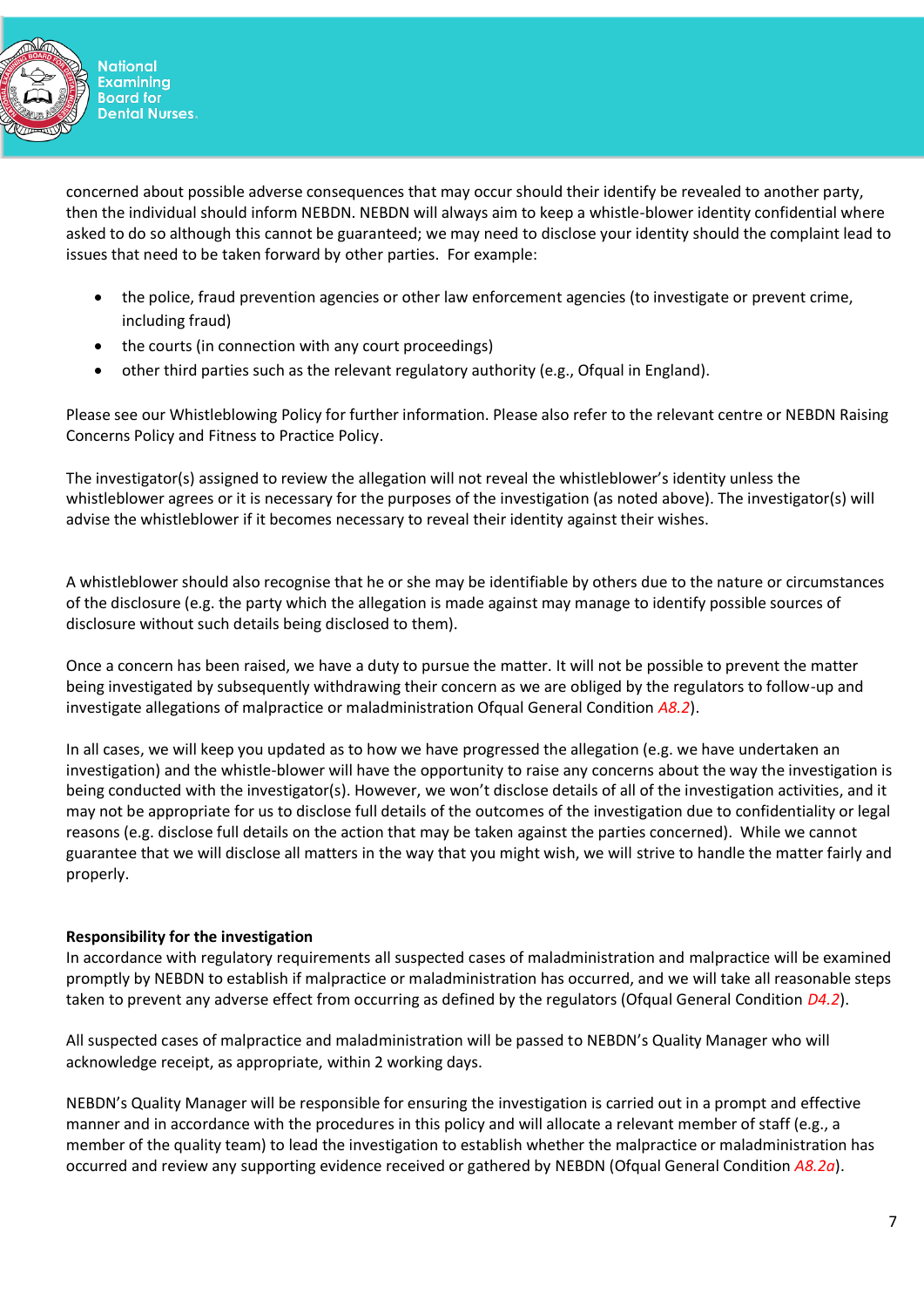

**National Examining Board for Dental Nurses.** 

concerned about possible adverse consequences that may occur should their identify be revealed to another party, then the individual should inform NEBDN. NEBDN will always aim to keep a whistle-blower identity confidential where asked to do so although this cannot be guaranteed; we may need to disclose your identity should the complaint lead to issues that need to be taken forward by other parties. For example:

- the police, fraud prevention agencies or other law enforcement agencies (to investigate or prevent crime, including fraud)
- the courts (in connection with any court proceedings)
- other third parties such as the relevant regulatory authority (e.g., Ofqual in England).

Please see our Whistleblowing Policy for further information. Please also refer to the relevant centre or NEBDN Raising Concerns Policy and Fitness to Practice Policy.

The investigator(s) assigned to review the allegation will not reveal the whistleblower's identity unless the whistleblower agrees or it is necessary for the purposes of the investigation (as noted above). The investigator(s) will advise the whistleblower if it becomes necessary to reveal their identity against their wishes.

A whistleblower should also recognise that he or she may be identifiable by others due to the nature or circumstances of the disclosure (e.g. the party which the allegation is made against may manage to identify possible sources of disclosure without such details being disclosed to them).

Once a concern has been raised, we have a duty to pursue the matter. It will not be possible to prevent the matter being investigated by subsequently withdrawing their concern as we are obliged by the regulators to follow-up and investigate allegations of malpractice or maladministration Ofqual General Condition *A8.2*).

In all cases, we will keep you updated as to how we have progressed the allegation (e.g. we have undertaken an investigation) and the whistle-blower will have the opportunity to raise any concerns about the way the investigation is being conducted with the investigator(s). However, we won't disclose details of all of the investigation activities, and it may not be appropriate for us to disclose full details of the outcomes of the investigation due to confidentiality or legal reasons (e.g. disclose full details on the action that may be taken against the parties concerned). While we cannot guarantee that we will disclose all matters in the way that you might wish, we will strive to handle the matter fairly and properly.

# **Responsibility for the investigation**

In accordance with regulatory requirements all suspected cases of maladministration and malpractice will be examined promptly by NEBDN to establish if malpractice or maladministration has occurred, and we will take all reasonable steps taken to prevent any adverse effect from occurring as defined by the regulators (Ofqual General Condition *D4.2*).

All suspected cases of malpractice and maladministration will be passed to NEBDN's Quality Manager who will acknowledge receipt, as appropriate, within 2 working days.

NEBDN's Quality Manager will be responsible for ensuring the investigation is carried out in a prompt and effective manner and in accordance with the procedures in this policy and will allocate a relevant member of staff (e.g., a member of the quality team) to lead the investigation to establish whether the malpractice or maladministration has occurred and review any supporting evidence received or gathered by NEBDN (Ofqual General Condition *A8.2a*).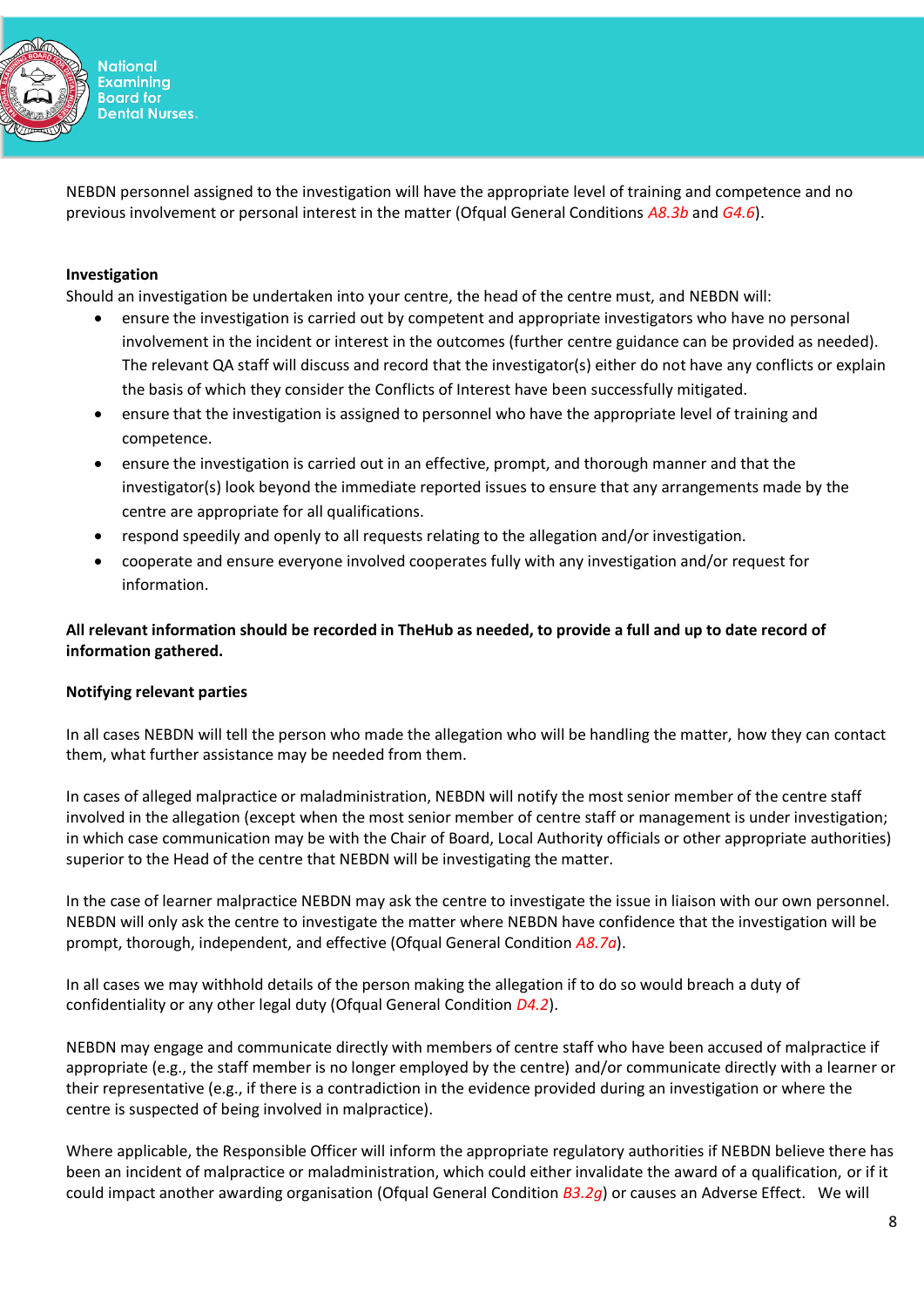

NEBDN personnel assigned to the investigation will have the appropriate level of training and competence and no previous involvement or personal interest in the matter (Ofqual General Conditions *A8.3b* and *G4.6*).

## **Investigation**

Should an investigation be undertaken into your centre, the head of the centre must, and NEBDN will:

- ensure the investigation is carried out by competent and appropriate investigators who have no personal involvement in the incident or interest in the outcomes (further centre guidance can be provided as needed). The relevant QA staff will discuss and record that the investigator(s) either do not have any conflicts or explain the basis of which they consider the Conflicts of Interest have been successfully mitigated.
- ensure that the investigation is assigned to personnel who have the appropriate level of training and competence.
- ensure the investigation is carried out in an effective, prompt, and thorough manner and that the investigator(s) look beyond the immediate reported issues to ensure that any arrangements made by the centre are appropriate for all qualifications.
- respond speedily and openly to all requests relating to the allegation and/or investigation.
- cooperate and ensure everyone involved cooperates fully with any investigation and/or request for information.

**All relevant information should be recorded in TheHub as needed, to provide a full and up to date record of information gathered.**

## **Notifying relevant parties**

In all cases NEBDN will tell the person who made the allegation who will be handling the matter, how they can contact them, what further assistance may be needed from them.

In cases of alleged malpractice or maladministration, NEBDN will notify the most senior member of the centre staff involved in the allegation (except when the most senior member of centre staff or management is under investigation; in which case communication may be with the Chair of Board, Local Authority officials or other appropriate authorities) superior to the Head of the centre that NEBDN will be investigating the matter.

In the case of learner malpractice NEBDN may ask the centre to investigate the issue in liaison with our own personnel. NEBDN will only ask the centre to investigate the matter where NEBDN have confidence that the investigation will be prompt, thorough, independent, and effective (Ofqual General Condition *A8.7a*).

In all cases we may withhold details of the person making the allegation if to do so would breach a duty of confidentiality or any other legal duty (Ofqual General Condition *D4.2*).

NEBDN may engage and communicate directly with members of centre staff who have been accused of malpractice if appropriate (e.g., the staff member is no longer employed by the centre) and/or communicate directly with a learner or their representative (e.g., if there is a contradiction in the evidence provided during an investigation or where the centre is suspected of being involved in malpractice).

Where applicable, the Responsible Officer will inform the appropriate regulatory authorities if NEBDN believe there has been an incident of malpractice or maladministration, which could either invalidate the award of a qualification, or if it could impact another awarding organisation (Ofqual General Condition *B3.2g*) or causes an Adverse Effect. We will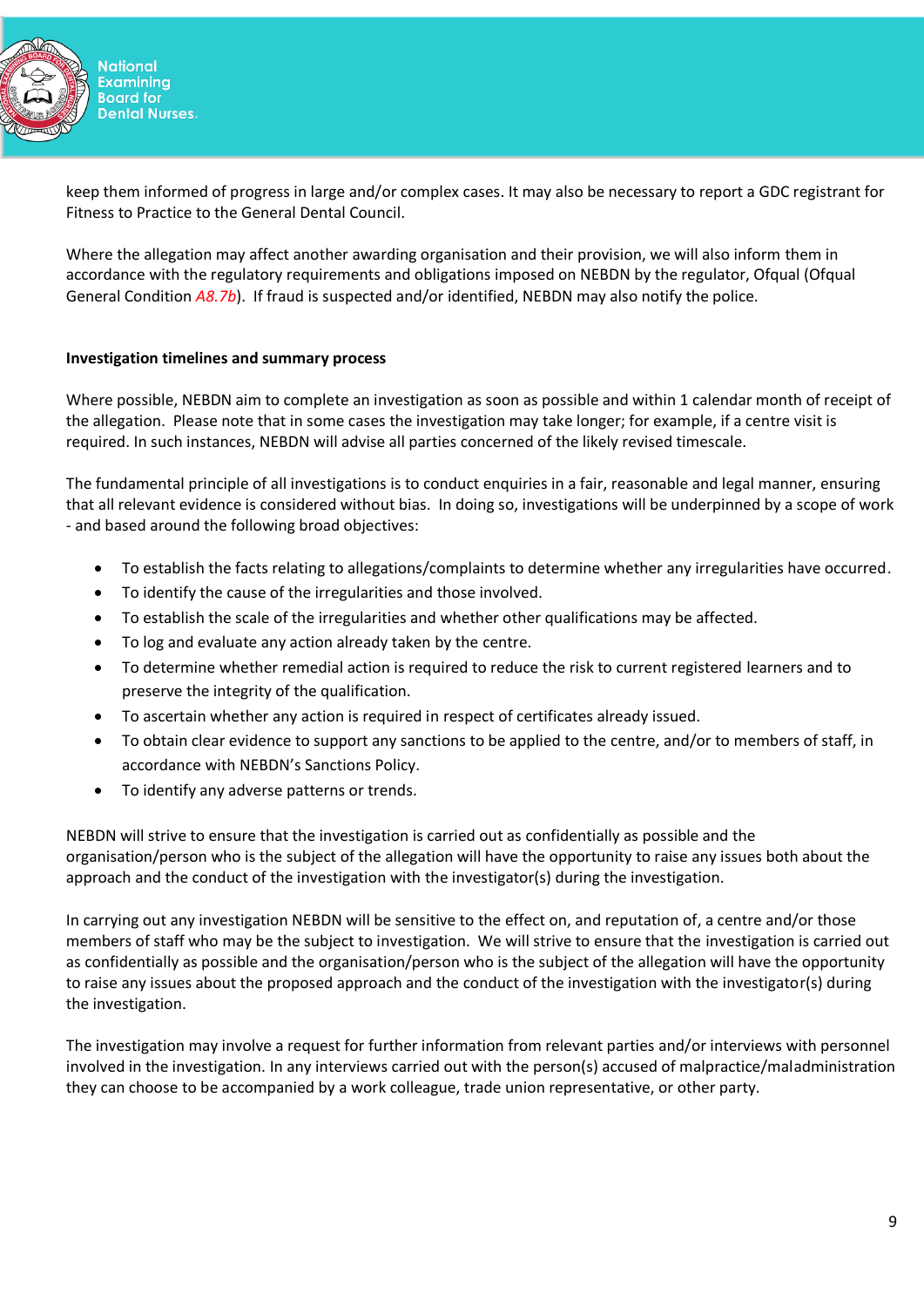

**National Examining Board for Dental Nurses.** 

keep them informed of progress in large and/or complex cases. It may also be necessary to report a GDC registrant for Fitness to Practice to the General Dental Council.

Where the allegation may affect another awarding organisation and their provision, we will also inform them in accordance with the regulatory requirements and obligations imposed on NEBDN by the regulator, Ofqual (Ofqual General Condition *A8.7b*). If fraud is suspected and/or identified, NEBDN may also notify the police.

## **Investigation timelines and summary process**

Where possible, NEBDN aim to complete an investigation as soon as possible and within 1 calendar month of receipt of the allegation. Please note that in some cases the investigation may take longer; for example, if a centre visit is required. In such instances, NEBDN will advise all parties concerned of the likely revised timescale.

The fundamental principle of all investigations is to conduct enquiries in a fair, reasonable and legal manner, ensuring that all relevant evidence is considered without bias. In doing so, investigations will be underpinned by a scope of work - and based around the following broad objectives:

- To establish the facts relating to allegations/complaints to determine whether any irregularities have occurred.
- To identify the cause of the irregularities and those involved.
- To establish the scale of the irregularities and whether other qualifications may be affected.
- To log and evaluate any action already taken by the centre.
- To determine whether remedial action is required to reduce the risk to current registered learners and to preserve the integrity of the qualification.
- To ascertain whether any action is required in respect of certificates already issued.
- To obtain clear evidence to support any sanctions to be applied to the centre, and/or to members of staff, in accordance with NEBDN's Sanctions Policy.
- To identify any adverse patterns or trends.

NEBDN will strive to ensure that the investigation is carried out as confidentially as possible and the organisation/person who is the subject of the allegation will have the opportunity to raise any issues both about the approach and the conduct of the investigation with the investigator(s) during the investigation.

In carrying out any investigation NEBDN will be sensitive to the effect on, and reputation of, a centre and/or those members of staff who may be the subject to investigation. We will strive to ensure that the investigation is carried out as confidentially as possible and the organisation/person who is the subject of the allegation will have the opportunity to raise any issues about the proposed approach and the conduct of the investigation with the investigator(s) during the investigation.

The investigation may involve a request for further information from relevant parties and/or interviews with personnel involved in the investigation. In any interviews carried out with the person(s) accused of malpractice/maladministration they can choose to be accompanied by a work colleague, trade union representative, or other party.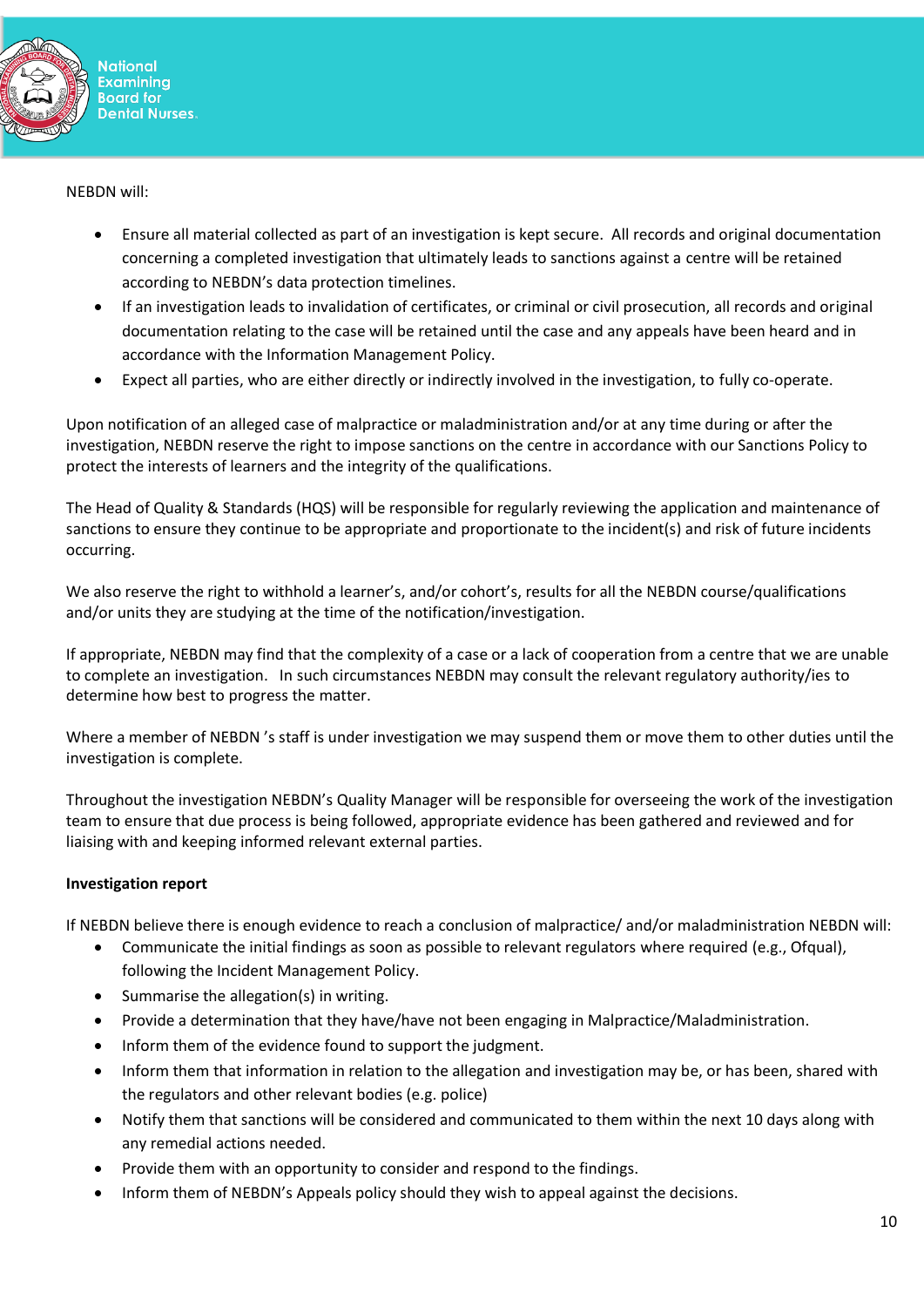

NEBDN will:

- Ensure all material collected as part of an investigation is kept secure. All records and original documentation concerning a completed investigation that ultimately leads to sanctions against a centre will be retained according to NEBDN's data protection timelines.
- If an investigation leads to invalidation of certificates, or criminal or civil prosecution, all records and original documentation relating to the case will be retained until the case and any appeals have been heard and in accordance with the Information Management Policy.
- Expect all parties, who are either directly or indirectly involved in the investigation, to fully co-operate.

Upon notification of an alleged case of malpractice or maladministration and/or at any time during or after the investigation, NEBDN reserve the right to impose sanctions on the centre in accordance with our Sanctions Policy to protect the interests of learners and the integrity of the qualifications.

The Head of Quality & Standards (HQS) will be responsible for regularly reviewing the application and maintenance of sanctions to ensure they continue to be appropriate and proportionate to the incident(s) and risk of future incidents occurring.

We also reserve the right to withhold a learner's, and/or cohort's, results for all the NEBDN course/qualifications and/or units they are studying at the time of the notification/investigation.

If appropriate, NEBDN may find that the complexity of a case or a lack of cooperation from a centre that we are unable to complete an investigation. In such circumstances NEBDN may consult the relevant regulatory authority/ies to determine how best to progress the matter.

Where a member of NEBDN 's staff is under investigation we may suspend them or move them to other duties until the investigation is complete.

Throughout the investigation NEBDN's Quality Manager will be responsible for overseeing the work of the investigation team to ensure that due process is being followed, appropriate evidence has been gathered and reviewed and for liaising with and keeping informed relevant external parties.

## **Investigation report**

If NEBDN believe there is enough evidence to reach a conclusion of malpractice/ and/or maladministration NEBDN will:

- Communicate the initial findings as soon as possible to relevant regulators where required (e.g., Ofqual),
	- following the Incident Management Policy.
- Summarise the allegation(s) in writing.
- Provide a determination that they have/have not been engaging in Malpractice/Maladministration.
- Inform them of the evidence found to support the judgment.
- Inform them that information in relation to the allegation and investigation may be, or has been, shared with the regulators and other relevant bodies (e.g. police)
- Notify them that sanctions will be considered and communicated to them within the next 10 days along with any remedial actions needed.
- Provide them with an opportunity to consider and respond to the findings.
- Inform them of NEBDN's Appeals policy should they wish to appeal against the decisions.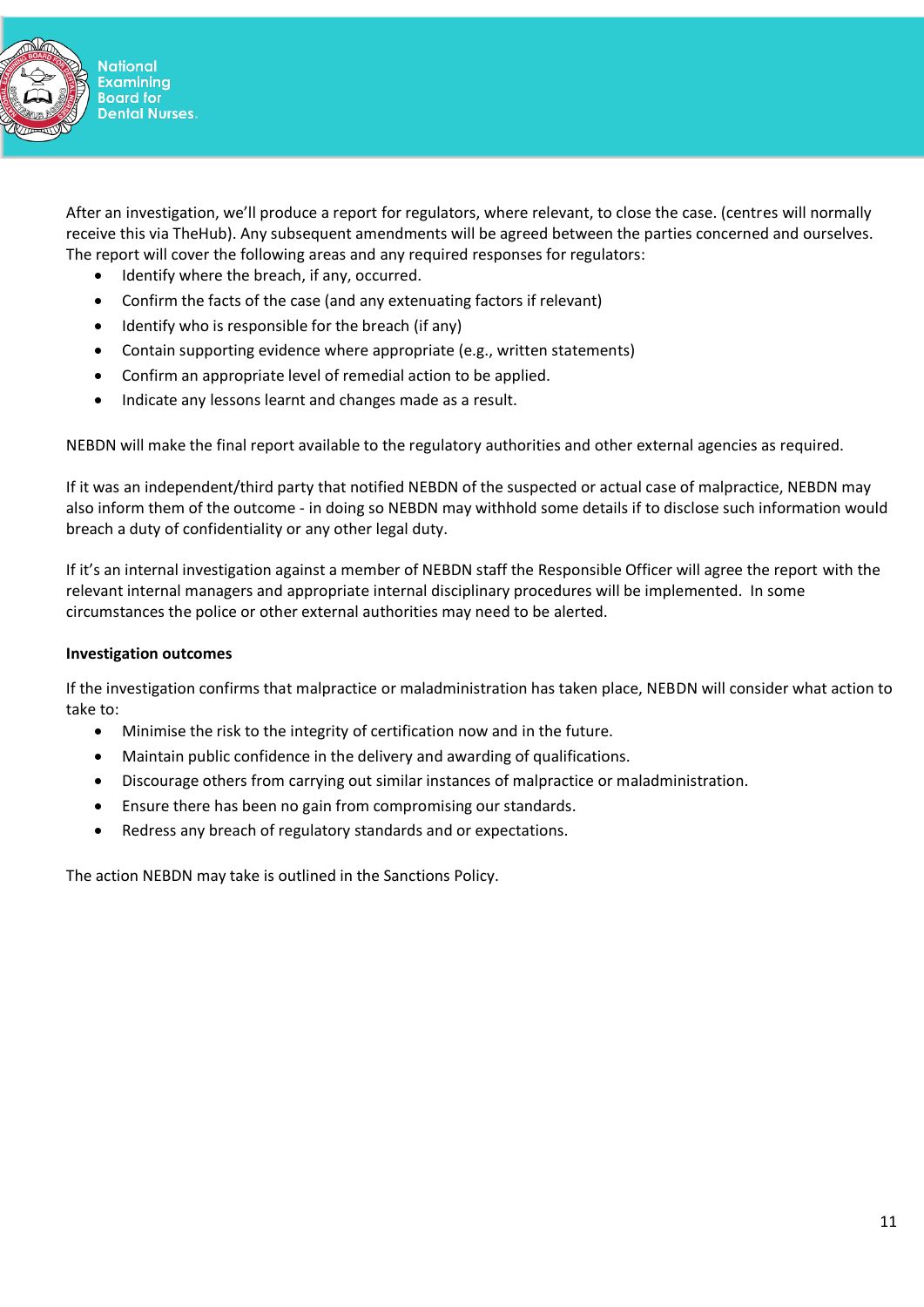

After an investigation, we'll produce a report for regulators, where relevant, to close the case. (centres will normally receive this via TheHub). Any subsequent amendments will be agreed between the parties concerned and ourselves. The report will cover the following areas and any required responses for regulators:

- Identify where the breach, if any, occurred.
- Confirm the facts of the case (and any extenuating factors if relevant)
- Identify who is responsible for the breach (if any)
- Contain supporting evidence where appropriate (e.g., written statements)
- Confirm an appropriate level of remedial action to be applied.
- Indicate any lessons learnt and changes made as a result.

NEBDN will make the final report available to the regulatory authorities and other external agencies as required.

If it was an independent/third party that notified NEBDN of the suspected or actual case of malpractice, NEBDN may also inform them of the outcome - in doing so NEBDN may withhold some details if to disclose such information would breach a duty of confidentiality or any other legal duty.

If it's an internal investigation against a member of NEBDN staff the Responsible Officer will agree the report with the relevant internal managers and appropriate internal disciplinary procedures will be implemented. In some circumstances the police or other external authorities may need to be alerted.

### **Investigation outcomes**

If the investigation confirms that malpractice or maladministration has taken place, NEBDN will consider what action to take to:

- Minimise the risk to the integrity of certification now and in the future.
- Maintain public confidence in the delivery and awarding of qualifications.
- Discourage others from carrying out similar instances of malpractice or maladministration.
- Ensure there has been no gain from compromising our standards.
- Redress any breach of regulatory standards and or expectations.

The action NEBDN may take is outlined in the Sanctions Policy.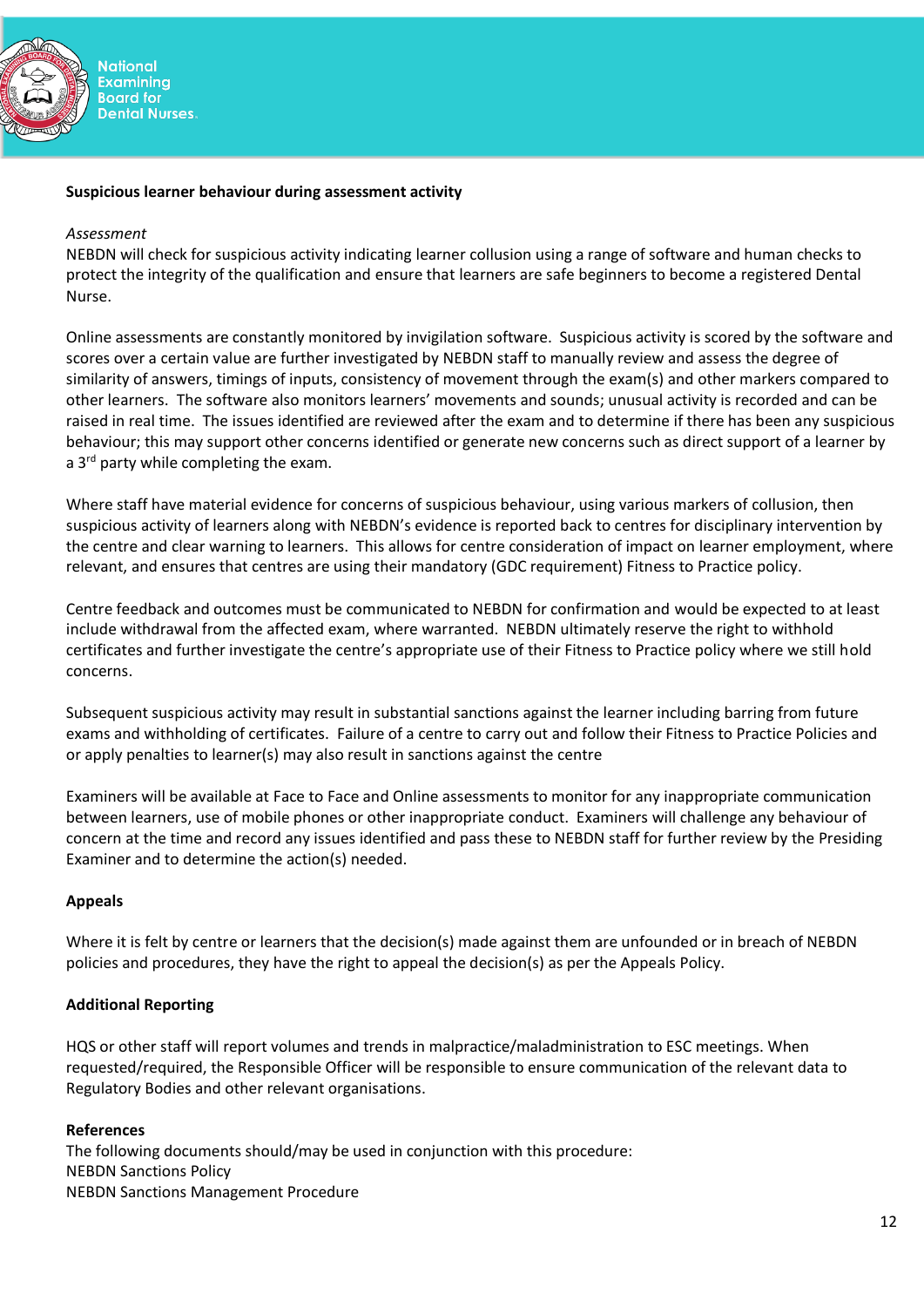

### **Suspicious learner behaviour during assessment activity**

#### *Assessment*

NEBDN will check for suspicious activity indicating learner collusion using a range of software and human checks to protect the integrity of the qualification and ensure that learners are safe beginners to become a registered Dental Nurse.

Online assessments are constantly monitored by invigilation software. Suspicious activity is scored by the software and scores over a certain value are further investigated by NEBDN staff to manually review and assess the degree of similarity of answers, timings of inputs, consistency of movement through the exam(s) and other markers compared to other learners. The software also monitors learners' movements and sounds; unusual activity is recorded and can be raised in real time. The issues identified are reviewed after the exam and to determine if there has been any suspicious behaviour; this may support other concerns identified or generate new concerns such as direct support of a learner by a  $3<sup>rd</sup>$  party while completing the exam.

Where staff have material evidence for concerns of suspicious behaviour, using various markers of collusion, then suspicious activity of learners along with NEBDN's evidence is reported back to centres for disciplinary intervention by the centre and clear warning to learners. This allows for centre consideration of impact on learner employment, where relevant, and ensures that centres are using their mandatory (GDC requirement) Fitness to Practice policy.

Centre feedback and outcomes must be communicated to NEBDN for confirmation and would be expected to at least include withdrawal from the affected exam, where warranted. NEBDN ultimately reserve the right to withhold certificates and further investigate the centre's appropriate use of their Fitness to Practice policy where we still hold concerns.

Subsequent suspicious activity may result in substantial sanctions against the learner including barring from future exams and withholding of certificates. Failure of a centre to carry out and follow their Fitness to Practice Policies and or apply penalties to learner(s) may also result in sanctions against the centre

Examiners will be available at Face to Face and Online assessments to monitor for any inappropriate communication between learners, use of mobile phones or other inappropriate conduct. Examiners will challenge any behaviour of concern at the time and record any issues identified and pass these to NEBDN staff for further review by the Presiding Examiner and to determine the action(s) needed.

#### **Appeals**

Where it is felt by centre or learners that the decision(s) made against them are unfounded or in breach of NEBDN policies and procedures, they have the right to appeal the decision(s) as per the Appeals Policy.

#### **Additional Reporting**

HQS or other staff will report volumes and trends in malpractice/maladministration to ESC meetings. When requested/required, the Responsible Officer will be responsible to ensure communication of the relevant data to Regulatory Bodies and other relevant organisations.

#### **References**

The following documents should/may be used in conjunction with this procedure: NEBDN Sanctions Policy NEBDN Sanctions Management Procedure